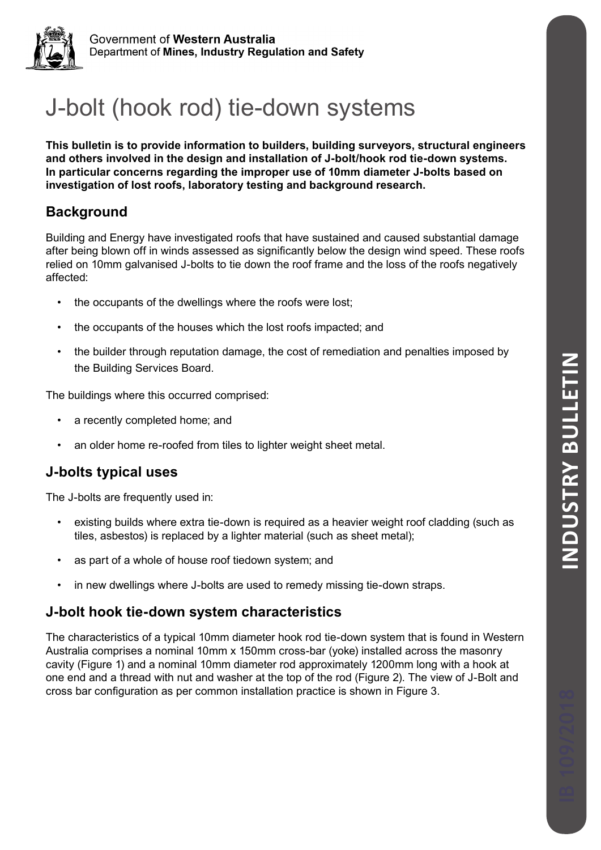

# J-bolt (hook rod) tie-down systems

**This bulletin is to provide information to builders, building surveyors, structural engineers and others involved in the design and installation of J-bolt/hook rod tie-down systems. In particular concerns regarding the improper use of 10mm diameter J-bolts based on investigation of lost roofs, laboratory testing and background research.**

# **Background**

Building and Energy have investigated roofs that have sustained and caused substantial damage after being blown off in winds assessed as significantly below the design wind speed. These roofs relied on 10mm galvanised J-bolts to tie down the roof frame and the loss of the roofs negatively affected:

- the occupants of the dwellings where the roofs were lost;
- the occupants of the houses which the lost roofs impacted; and
- the builder through reputation damage, the cost of remediation and penalties imposed by the Building Services Board.

The buildings where this occurred comprised:

- a recently completed home; and
- an older home re-roofed from tiles to lighter weight sheet metal.

# **J-bolts typical uses**

The J-bolts are frequently used in:

- existing builds where extra tie-down is required as a heavier weight roof cladding (such as tiles, asbestos) is replaced by a lighter material (such as sheet metal);
- as part of a whole of house roof tiedown system; and
- in new dwellings where J-bolts are used to remedy missing tie-down straps.

# **J-bolt hook tie-down system characteristics**

The characteristics of a typical 10mm diameter hook rod tie-down system that is found in Western Australia comprises a nominal 10mm x 150mm cross-bar (yoke) installed across the masonry cavity (Figure 1) and a nominal 10mm diameter rod approximately 1200mm long with a hook at one end and a thread with nut and washer at the top of the rod (Figure 2). The view of J-Bolt and cross bar configuration as per common installation practice is shown in Figure 3.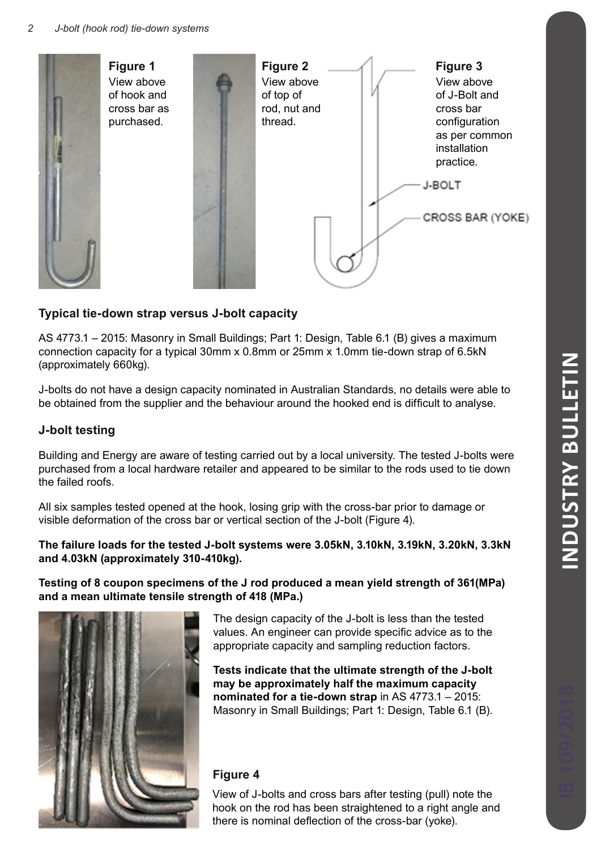

# **Typical tie-down strap versus J-bolt capacity**

AS 4773.1 – 2015: Masonry in Small Buildings; Part 1: Design, Table 6.1 (B) gives a maximum connection capacity for a typical 30mm x 0.8mm or 25mm x 1.0mm tie-down strap of 6.5kN (approximately 660kg).

J-bolts do not have a design capacity nominated in Australian Standards, no details were able to be obtained from the supplier and the behaviour around the hooked end is difficult to analyse.

## **J-bolt testing**

Building and Energy are aware of testing carried out by a local university. The tested J-bolts were purchased from a local hardware retailer and appeared to be similar to the rods used to tie down the failed roofs.

All six samples tested opened at the hook, losing grip with the cross-bar prior to damage or visible deformation of the cross bar or vertical section of the J-bolt (Figure 4).

### **The failure loads for the tested J-bolt systems were 3.05kN, 3.10kN, 3.19kN, 3.20kN, 3.3kN and 4.03kN (approximately 310-410kg).**

**Testing of 8 coupon specimens of the J rod produced a mean yield strength of 361(MPa) and a mean ultimate tensile strength of 418 (MPa.)**



The design capacity of the J-bolt is less than the tested values. An engineer can provide specific advice as to the appropriate capacity and sampling reduction factors.

**Tests indicate that the ultimate strength of the J-bolt may be approximately half the maximum capacity nominated for a tie-down strap** in AS 4773.1 – 2015: Masonry in Small Buildings; Part 1: Design, Table 6.1 (B).

## **Figure 4**

View of J-bolts and cross bars after testing (pull) note the hook on the rod has been straightened to a right angle and there is nominal deflection of the cross-bar (yoke).